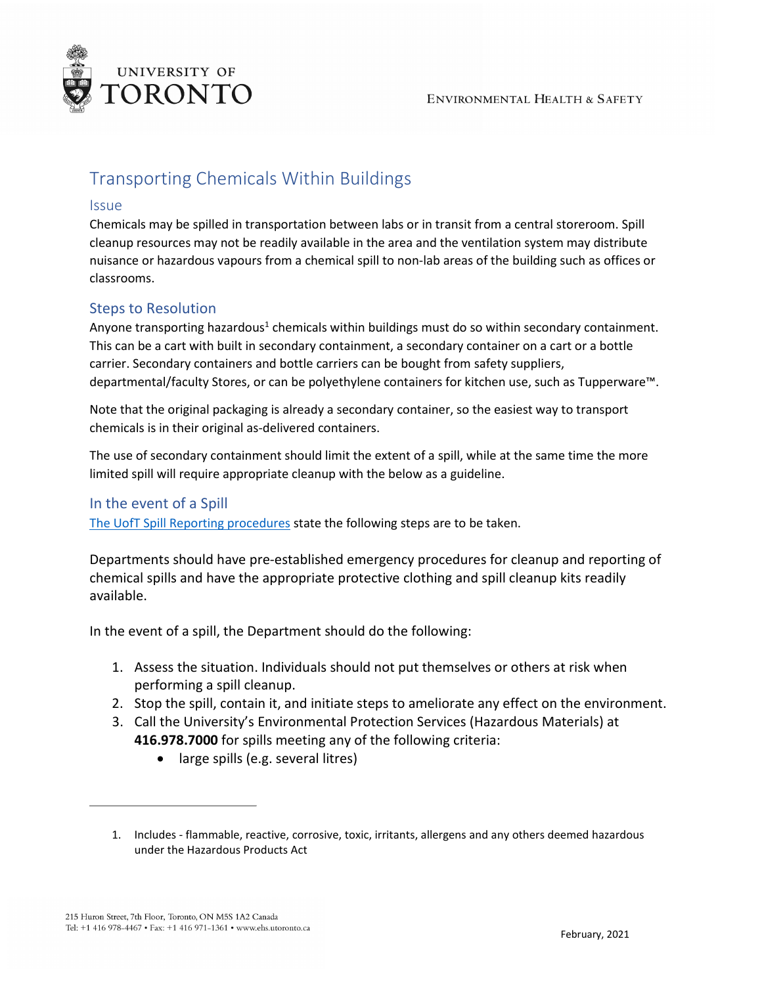

## Transporting Chemicals Within Buildings

## Issue

Chemicals may be spilled in transportation between labs or in transit from a central storeroom. Spill cleanup resources may not be readily available in the area and the ventilation system may distribute nuisance or hazardous vapours from a chemical spill to non-lab areas of the building such as offices or classrooms.

## Steps to Resolution

Anyone transporting hazardous<sup>1</sup> chemicals within buildings must do so within secondary containment. This can be a cart with built in secondary containment, a secondary container on a cart or a bottle carrier. Secondary containers and bottle carriers can be bought from safety suppliers, departmental/faculty Stores, or can be polyethylene containers for kitchen use, such as Tupperware™.

Note that the original packaging is already a secondary container, so the easiest way to transport chemicals is in their original as-delivered containers.

The use of secondary containment should limit the extent of a spill, while at the same time the more limited spill will require appropriate cleanup with the below as a guideline.

## In the event of a Spill

[The UofT Spill Reporting procedures](https://ehs.utoronto.ca/report-an-incident/spill-reporting-procedures/) state the following steps are to be taken.

Departments should have pre-established emergency procedures for cleanup and reporting of chemical spills and have the appropriate protective clothing and spill cleanup kits readily available.

In the event of a spill, the Department should do the following:

- 1. Assess the situation. Individuals should not put themselves or others at risk when performing a spill cleanup.
- 2. Stop the spill, contain it, and initiate steps to ameliorate any effect on the environment.
- 3. Call the University's Environmental Protection Services (Hazardous Materials) at **416.978.7000** for spills meeting any of the following criteria:
	- large spills (e.g. several litres)

<sup>1.</sup> Includes - flammable, reactive, corrosive, toxic, irritants, allergens and any others deemed hazardous under the Hazardous Products Act